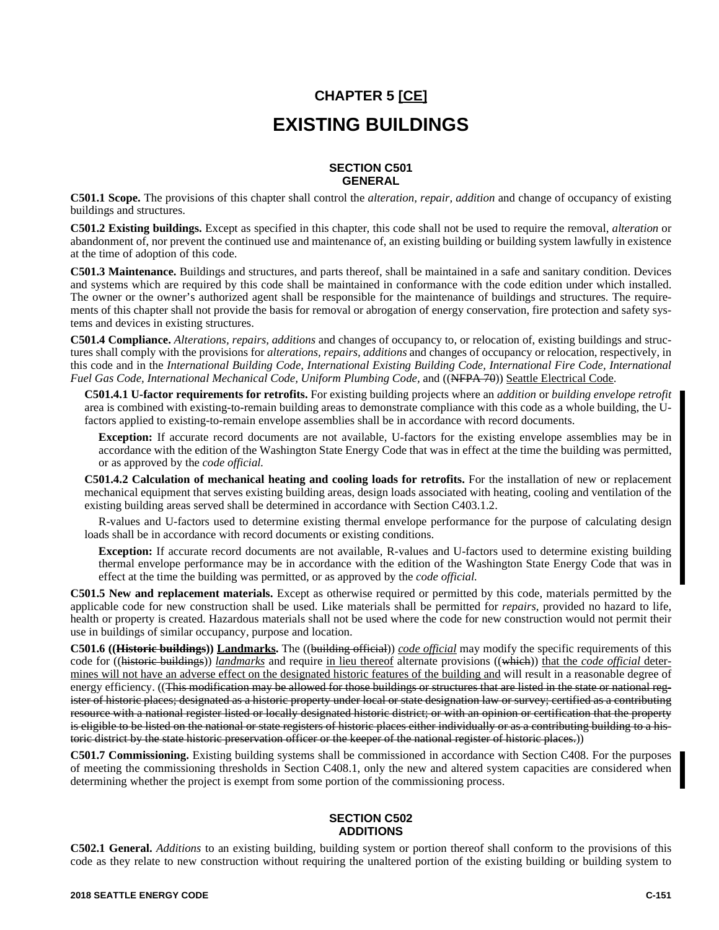# **CHAPTER 5 [CE] EXISTING BUILDINGS**

## **SECTION C501 GENERAL**

**C501.1 Scope.** The provisions of this chapter shall control the *alteration, repair, addition* and change of occupancy of existing buildings and structures.

**C501.2 Existing buildings.** Except as specified in this chapter, this code shall not be used to require the removal, *alteration* or abandonment of, nor prevent the continued use and maintenance of, an existing building or building system lawfully in existence at the time of adoption of this code.

**C501.3 Maintenance.** Buildings and structures, and parts thereof, shall be maintained in a safe and sanitary condition. Devices and systems which are required by this code shall be maintained in conformance with the code edition under which installed. The owner or the owner's authorized agent shall be responsible for the maintenance of buildings and structures. The requirements of this chapter shall not provide the basis for removal or abrogation of energy conservation, fire protection and safety systems and devices in existing structures.

**C501.4 Compliance.** *Alterations, repairs, additions* and changes of occupancy to, or relocation of, existing buildings and structures shall comply with the provisions for *alterations, repairs, additions* and changes of occupancy or relocation, respectively, in this code and in the *International Building Code, International Existing Building Code, International Fire Code, International Fuel Gas Code, International Mechanical Code, Uniform Plumbing Code,* and ((NFPA 70)) Seattle Electrical Code.

**C501.4.1 U-factor requirements for retrofits.** For existing building projects where an *addition* or *building envelope retrofit* area is combined with existing-to-remain building areas to demonstrate compliance with this code as a whole building, the Ufactors applied to existing-to-remain envelope assemblies shall be in accordance with record documents.

**Exception:** If accurate record documents are not available, U-factors for the existing envelope assemblies may be in accordance with the edition of the Washington State Energy Code that was in effect at the time the building was permitted, or as approved by the *code official.*

**C501.4.2 Calculation of mechanical heating and cooling loads for retrofits.** For the installation of new or replacement mechanical equipment that serves existing building areas, design loads associated with heating, cooling and ventilation of the existing building areas served shall be determined in accordance with Section C403.1.2.

R-values and U-factors used to determine existing thermal envelope performance for the purpose of calculating design loads shall be in accordance with record documents or existing conditions.

**Exception:** If accurate record documents are not available, R-values and U-factors used to determine existing building thermal envelope performance may be in accordance with the edition of the Washington State Energy Code that was in effect at the time the building was permitted, or as approved by the *code official.*

**C501.5 New and replacement materials.** Except as otherwise required or permitted by this code, materials permitted by the applicable code for new construction shall be used. Like materials shall be permitted for *repairs,* provided no hazard to life, health or property is created. Hazardous materials shall not be used where the code for new construction would not permit their use in buildings of similar occupancy, purpose and location.

**C501.6 ((Historic buildings)) Landmarks.** The ((building official)) *code official* may modify the specific requirements of this code for ((historic buildings)) *landmarks* and require in lieu thereof alternate provisions ((which)) that the *code official* determines will not have an adverse effect on the designated historic features of the building and will result in a reasonable degree of energy efficiency. ((This modification may be allowed for those buildings or structures that are listed in the state or national register of historic places; designated as a historic property under local or state designation law or survey; certified as a contributing resource with a national register listed or locally designated historic district; or with an opinion or certification that the property is eligible to be listed on the national or state registers of historic places either individually or as a contributing building to a historic district by the state historic preservation officer or the keeper of the national register of historic places.))

**C501.7 Commissioning.** Existing building systems shall be commissioned in accordance with Section C408. For the purposes of meeting the commissioning thresholds in Section C408.1, only the new and altered system capacities are considered when determining whether the project is exempt from some portion of the commissioning process.

# **SECTION C502 ADDITIONS**

**C502.1 General.** *Additions* to an existing building, building system or portion thereof shall conform to the provisions of this code as they relate to new construction without requiring the unaltered portion of the existing building or building system to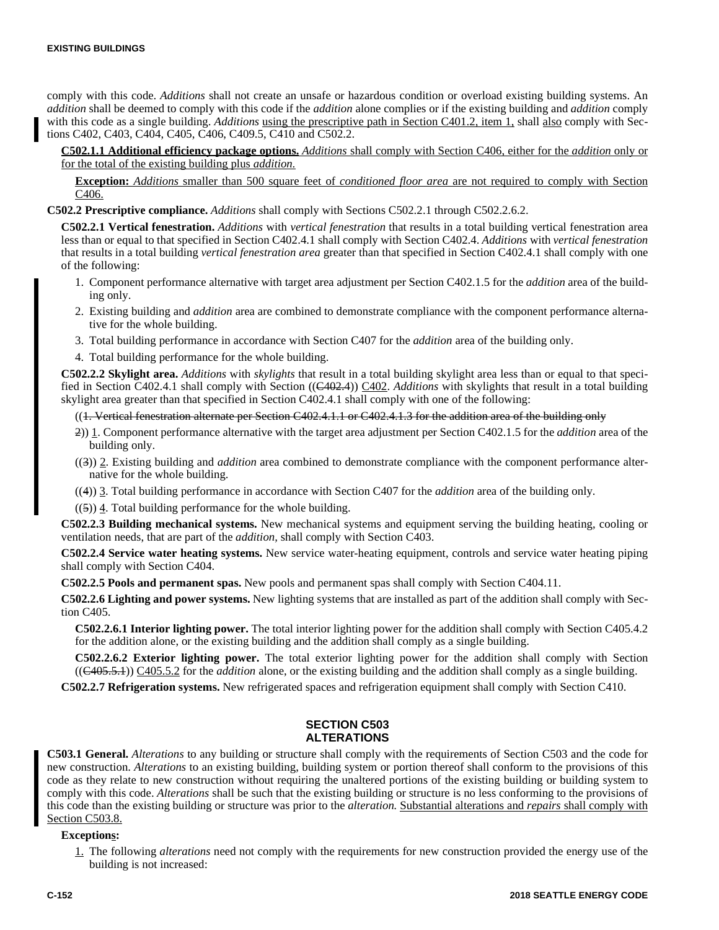comply with this code. *Additions* shall not create an unsafe or hazardous condition or overload existing building systems. An *addition* shall be deemed to comply with this code if the *addition* alone complies or if the existing building and *addition* comply with this code as a single building. *Additions* using the prescriptive path in Section C401.2, item 1, shall also comply with Sections C402, C403, C404, C405, C406, C409.5, C410 and C502.2.

**C502.1.1 Additional efficiency package options.** *Additions* shall comply with Section C406, either for the *addition* only or for the total of the existing building plus *addition.*

**Exception:** *Additions* smaller than 500 square feet of *conditioned floor area* are not required to comply with Section C406.

**C502.2 Prescriptive compliance.** *Additions* shall comply with Sections C502.2.1 through C502.2.6.2.

**C502.2.1 Vertical fenestration.** *Additions* with *vertical fenestration* that results in a total building vertical fenestration area less than or equal to that specified in Section C402.4.1 shall comply with Section C402.4. *Additions* with *vertical fenestration* that results in a total building *vertical fenestration area* greater than that specified in Section C402.4.1 shall comply with one of the following:

- 1. Component performance alternative with target area adjustment per Section C402.1.5 for the *addition* area of the building only.
- 2. Existing building and *addition* area are combined to demonstrate compliance with the component performance alternative for the whole building.
- 3. Total building performance in accordance with Section C407 for the *addition* area of the building only.
- 4. Total building performance for the whole building.

**C502.2.2 Skylight area.** *Additions* with *skylights* that result in a total building skylight area less than or equal to that specified in Section C402.4.1 shall comply with Section ((C402.4)) C402. *Additions* with skylights that result in a total building skylight area greater than that specified in Section C402.4.1 shall comply with one of the following:

((1. Vertical fenestration alternate per Section C402.4.1.1 or C402.4.1.3 for the addition area of the building only

- 2)) 1. Component performance alternative with the target area adjustment per Section C402.1.5 for the *addition* area of the building only.
- ((3)) 2. Existing building and *addition* area combined to demonstrate compliance with the component performance alternative for the whole building.
- ((4)) 3. Total building performance in accordance with Section C407 for the *addition* area of the building only.

 $((5))$  4. Total building performance for the whole building.

**C502.2.3 Building mechanical systems.** New mechanical systems and equipment serving the building heating, cooling or ventilation needs, that are part of the *addition,* shall comply with Section C403.

**C502.2.4 Service water heating systems.** New service water-heating equipment, controls and service water heating piping shall comply with Section C404.

**C502.2.5 Pools and permanent spas.** New pools and permanent spas shall comply with Section C404.11.

**C502.2.6 Lighting and power systems.** New lighting systems that are installed as part of the addition shall comply with Section C405.

**C502.2.6.1 Interior lighting power.** The total interior lighting power for the addition shall comply with Section C405.4.2 for the addition alone, or the existing building and the addition shall comply as a single building.

**C502.2.6.2 Exterior lighting power.** The total exterior lighting power for the addition shall comply with Section ((C405.5.1)) C405.5.2 for the *addition* alone, or the existing building and the addition shall comply as a single building.

**C502.2.7 Refrigeration systems.** New refrigerated spaces and refrigeration equipment shall comply with Section C410.

## **SECTION C503 ALTERATIONS**

**C503.1 General.** *Alterations* to any building or structure shall comply with the requirements of Section C503 and the code for new construction. *Alterations* to an existing building, building system or portion thereof shall conform to the provisions of this code as they relate to new construction without requiring the unaltered portions of the existing building or building system to comply with this code. *Alterations* shall be such that the existing building or structure is no less conforming to the provisions of this code than the existing building or structure was prior to the *alteration.* Substantial alterations and *repairs* shall comply with Section C503.8.

#### **Exceptions:**

1. The following *alterations* need not comply with the requirements for new construction provided the energy use of the building is not increased: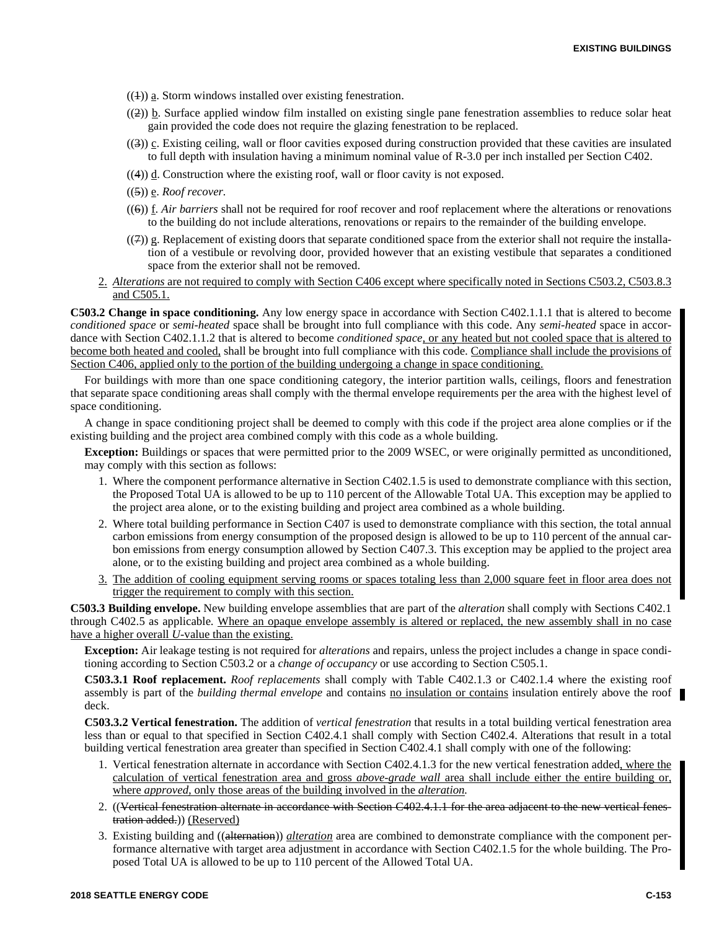- $((1))$  a. Storm windows installed over existing fenestration.
- $((2))$  b. Surface applied window film installed on existing single pane fenestration assemblies to reduce solar heat gain provided the code does not require the glazing fenestration to be replaced.
- ((3)) c. Existing ceiling, wall or floor cavities exposed during construction provided that these cavities are insulated to full depth with insulation having a minimum nominal value of R-3.0 per inch installed per Section C402.
- $((4))$  d. Construction where the existing roof, wall or floor cavity is not exposed.
- ((5)) e. *Roof recover.*
- ((6)) f. *Air barriers* shall not be required for roof recover and roof replacement where the alterations or renovations to the building do not include alterations, renovations or repairs to the remainder of the building envelope.
- $((7))$  g. Replacement of existing doors that separate conditioned space from the exterior shall not require the installation of a vestibule or revolving door, provided however that an existing vestibule that separates a conditioned space from the exterior shall not be removed.
- 2. *Alterations* are not required to comply with Section C406 except where specifically noted in Sections C503.2, C503.8.3 and C505.1.

**C503.2 Change in space conditioning.** Any low energy space in accordance with Section C402.1.1.1 that is altered to become *conditioned space* or *semi-heated* space shall be brought into full compliance with this code. Any *semi-heated* space in accordance with Section C402.1.1.2 that is altered to become *conditioned space,* or any heated but not cooled space that is altered to become both heated and cooled, shall be brought into full compliance with this code. Compliance shall include the provisions of Section C406, applied only to the portion of the building undergoing a change in space conditioning.

For buildings with more than one space conditioning category, the interior partition walls, ceilings, floors and fenestration that separate space conditioning areas shall comply with the thermal envelope requirements per the area with the highest level of space conditioning.

A change in space conditioning project shall be deemed to comply with this code if the project area alone complies or if the existing building and the project area combined comply with this code as a whole building.

**Exception:** Buildings or spaces that were permitted prior to the 2009 WSEC, or were originally permitted as unconditioned, may comply with this section as follows:

- 1. Where the component performance alternative in Section C402.1.5 is used to demonstrate compliance with this section, the Proposed Total UA is allowed to be up to 110 percent of the Allowable Total UA. This exception may be applied to the project area alone, or to the existing building and project area combined as a whole building.
- 2. Where total building performance in Section C407 is used to demonstrate compliance with this section, the total annual carbon emissions from energy consumption of the proposed design is allowed to be up to 110 percent of the annual carbon emissions from energy consumption allowed by Section C407.3. This exception may be applied to the project area alone, or to the existing building and project area combined as a whole building.
- 3. The addition of cooling equipment serving rooms or spaces totaling less than 2,000 square feet in floor area does not trigger the requirement to comply with this section.

**C503.3 Building envelope.** New building envelope assemblies that are part of the *alteration* shall comply with Sections C402.1 through C402.5 as applicable. Where an opaque envelope assembly is altered or replaced, the new assembly shall in no case have a higher overall *U-*value than the existing.

**Exception:** Air leakage testing is not required for *alterations* and repairs, unless the project includes a change in space conditioning according to Section C503.2 or a *change of occupancy* or use according to Section C505.1.

**C503.3.1 Roof replacement.** *Roof replacements* shall comply with Table C402.1.3 or C402.1.4 where the existing roof assembly is part of the *building thermal envelope* and contains no insulation or contains insulation entirely above the roof deck.

**C503.3.2 Vertical fenestration.** The addition of *vertical fenestration* that results in a total building vertical fenestration area less than or equal to that specified in Section C402.4.1 shall comply with Section C402.4. Alterations that result in a total building vertical fenestration area greater than specified in Section C402.4.1 shall comply with one of the following:

- 1. Vertical fenestration alternate in accordance with Section C402.4.1.3 for the new vertical fenestration added, where the calculation of vertical fenestration area and gross *above-grade wall* area shall include either the entire building or, where *approved,* only those areas of the building involved in the *alteration.*
- 2. ((Vertical fenestration alternate in accordance with Section C402.4.1.1 for the area adjacent to the new vertical fenestration added.)) (Reserved)
- 3. Existing building and ((alternation)) *alteration* area are combined to demonstrate compliance with the component performance alternative with target area adjustment in accordance with Section C402.1.5 for the whole building. The Proposed Total UA is allowed to be up to 110 percent of the Allowed Total UA.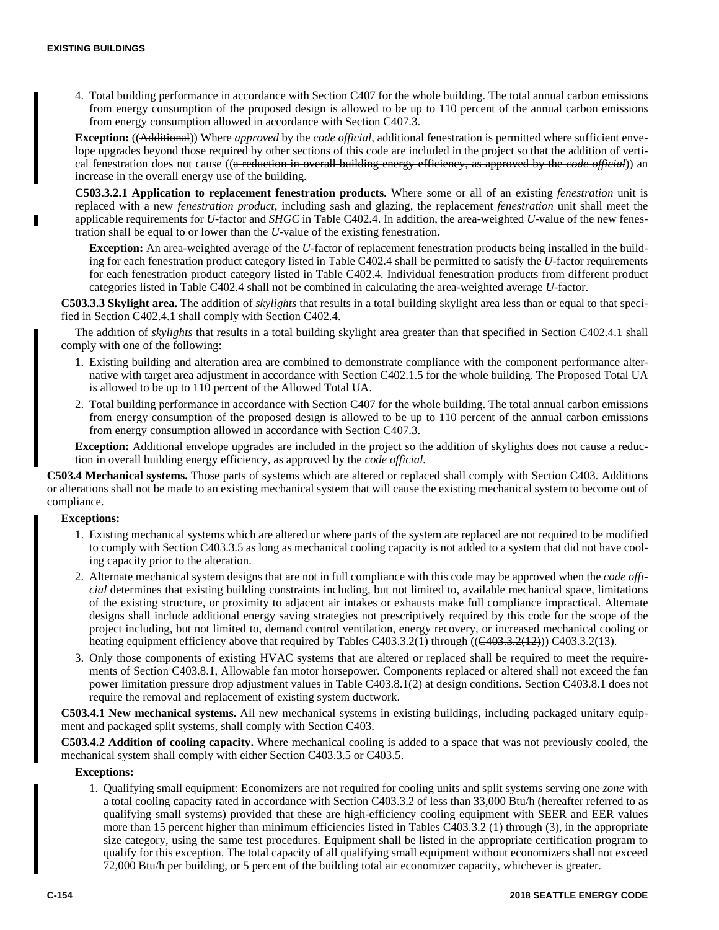4. Total building performance in accordance with Section C407 for the whole building. The total annual carbon emissions from energy consumption of the proposed design is allowed to be up to 110 percent of the annual carbon emissions from energy consumption allowed in accordance with Section C407.3.

**Exception:** ((Additional)) Where *approved* by the *code official,* additional fenestration is permitted where sufficient envelope upgrades beyond those required by other sections of this code are included in the project so that the addition of vertical fenestration does not cause ((a reduction in overall building energy efficiency, as approved by the *code official*)) an increase in the overall energy use of the building.

**C503.3.2.1 Application to replacement fenestration products.** Where some or all of an existing *fenestration* unit is replaced with a new *fenestration product,* including sash and glazing, the replacement *fenestration* unit shall meet the applicable requirements for *U-*factor and *SHGC* in Table C402.4. In addition, the area-weighted *U-*value of the new fenestration shall be equal to or lower than the *U-*value of the existing fenestration.

**Exception:** An area-weighted average of the *U-*factor of replacement fenestration products being installed in the building for each fenestration product category listed in Table C402.4 shall be permitted to satisfy the *U-*factor requirements for each fenestration product category listed in Table C402.4. Individual fenestration products from different product categories listed in Table C402.4 shall not be combined in calculating the area-weighted average *U-*factor.

**C503.3.3 Skylight area.** The addition of *skylights* that results in a total building skylight area less than or equal to that specified in Section C402.4.1 shall comply with Section C402.4.

The addition of *skylights* that results in a total building skylight area greater than that specified in Section C402.4.1 shall comply with one of the following:

- 1. Existing building and alteration area are combined to demonstrate compliance with the component performance alternative with target area adjustment in accordance with Section C402.1.5 for the whole building. The Proposed Total UA is allowed to be up to 110 percent of the Allowed Total UA.
- 2. Total building performance in accordance with Section C407 for the whole building. The total annual carbon emissions from energy consumption of the proposed design is allowed to be up to 110 percent of the annual carbon emissions from energy consumption allowed in accordance with Section C407.3.

**Exception:** Additional envelope upgrades are included in the project so the addition of skylights does not cause a reduction in overall building energy efficiency, as approved by the *code official.*

**C503.4 Mechanical systems.** Those parts of systems which are altered or replaced shall comply with Section C403. Additions or alterations shall not be made to an existing mechanical system that will cause the existing mechanical system to become out of compliance.

#### **Exceptions:**

- 1. Existing mechanical systems which are altered or where parts of the system are replaced are not required to be modified to comply with Section C403.3.5 as long as mechanical cooling capacity is not added to a system that did not have cooling capacity prior to the alteration.
- 2. Alternate mechanical system designs that are not in full compliance with this code may be approved when the *code official* determines that existing building constraints including, but not limited to, available mechanical space, limitations of the existing structure, or proximity to adjacent air intakes or exhausts make full compliance impractical. Alternate designs shall include additional energy saving strategies not prescriptively required by this code for the scope of the project including, but not limited to, demand control ventilation, energy recovery, or increased mechanical cooling or heating equipment efficiency above that required by Tables C403.3.2(1) through ((C403.3.2(12))) C403.3.2(13).
- 3. Only those components of existing HVAC systems that are altered or replaced shall be required to meet the requirements of Section C403.8.1, Allowable fan motor horsepower. Components replaced or altered shall not exceed the fan power limitation pressure drop adjustment values in Table C403.8.1(2) at design conditions. Section C403.8.1 does not require the removal and replacement of existing system ductwork.

**C503.4.1 New mechanical systems.** All new mechanical systems in existing buildings, including packaged unitary equipment and packaged split systems, shall comply with Section C403.

**C503.4.2 Addition of cooling capacity.** Where mechanical cooling is added to a space that was not previously cooled, the mechanical system shall comply with either Section C403.3.5 or C403.5.

### **Exceptions:**

1. Qualifying small equipment: Economizers are not required for cooling units and split systems serving one *zone* with a total cooling capacity rated in accordance with Section C403.3.2 of less than 33,000 Btu/h (hereafter referred to as qualifying small systems) provided that these are high-efficiency cooling equipment with SEER and EER values more than 15 percent higher than minimum efficiencies listed in Tables C403.3.2 (1) through (3), in the appropriate size category, using the same test procedures. Equipment shall be listed in the appropriate certification program to qualify for this exception. The total capacity of all qualifying small equipment without economizers shall not exceed 72,000 Btu/h per building, or 5 percent of the building total air economizer capacity, whichever is greater.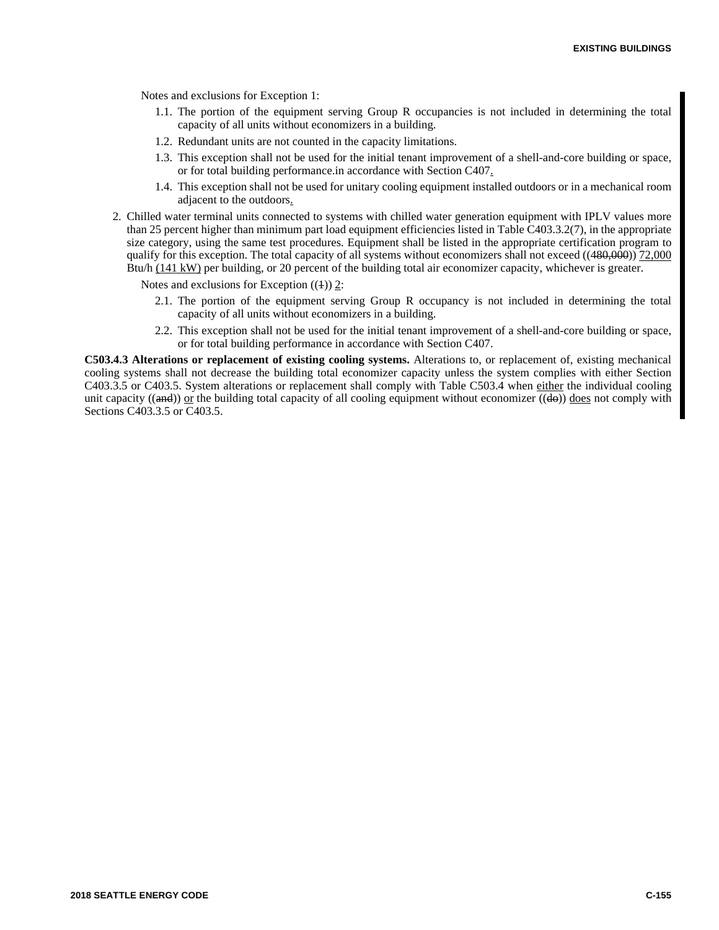Notes and exclusions for Exception 1:

- 1.1. The portion of the equipment serving Group R occupancies is not included in determining the total capacity of all units without economizers in a building.
- 1.2. Redundant units are not counted in the capacity limitations.
- 1.3. This exception shall not be used for the initial tenant improvement of a shell-and-core building or space, or for total building performance.in accordance with Section C407.
- 1.4. This exception shall not be used for unitary cooling equipment installed outdoors or in a mechanical room adjacent to the outdoors.
- 2. Chilled water terminal units connected to systems with chilled water generation equipment with IPLV values more than 25 percent higher than minimum part load equipment efficiencies listed in Table C403.3.2(7), in the appropriate size category, using the same test procedures. Equipment shall be listed in the appropriate certification program to qualify for this exception. The total capacity of all systems without economizers shall not exceed ((480,000)) 72,000 Btu/h (141 kW) per building, or 20 percent of the building total air economizer capacity, whichever is greater.

Notes and exclusions for Exception  $((1))$  2:

- 2.1. The portion of the equipment serving Group R occupancy is not included in determining the total capacity of all units without economizers in a building.
- 2.2. This exception shall not be used for the initial tenant improvement of a shell-and-core building or space, or for total building performance in accordance with Section C407.

**C503.4.3 Alterations or replacement of existing cooling systems.** Alterations to, or replacement of, existing mechanical cooling systems shall not decrease the building total economizer capacity unless the system complies with either Section C403.3.5 or C403.5. System alterations or replacement shall comply with Table C503.4 when either the individual cooling unit capacity (( $\theta$ )) or the building total capacity of all cooling equipment without economizer ( $\theta$ ) does not comply with Sections C403.3.5 or C403.5.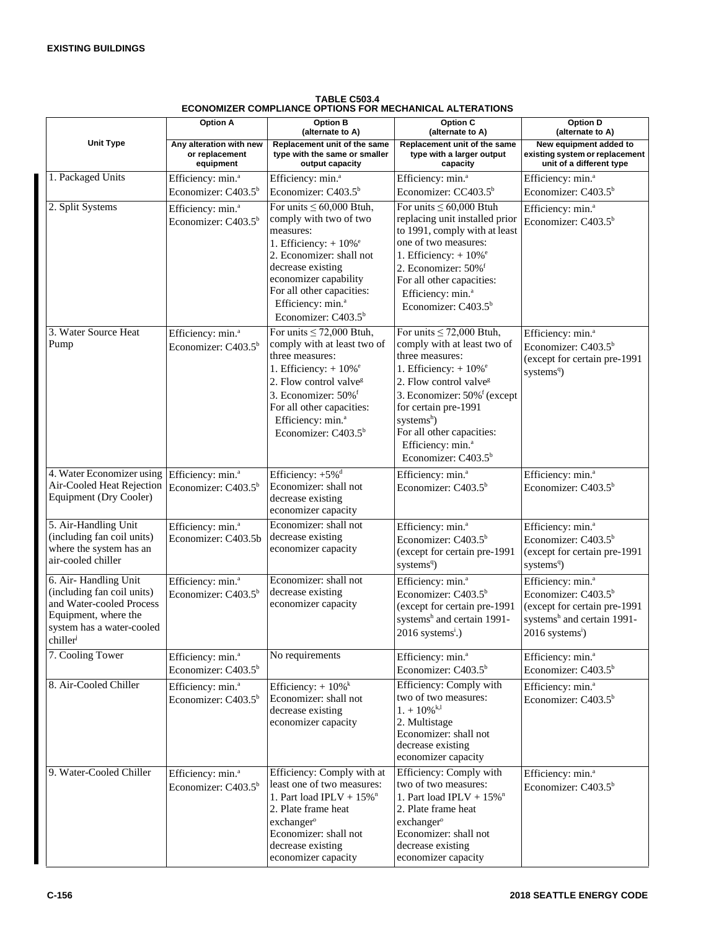| UMIZER CUMPLIANCE OF HUNG FOR MECHANICAL ALTERATIONS                                                                                           |                                                                  |                                                                                                                                                                                                                                                                                        |                                                                                                                                                                                                                                                                                                                                                            |                                                                                                                                                                           |
|------------------------------------------------------------------------------------------------------------------------------------------------|------------------------------------------------------------------|----------------------------------------------------------------------------------------------------------------------------------------------------------------------------------------------------------------------------------------------------------------------------------------|------------------------------------------------------------------------------------------------------------------------------------------------------------------------------------------------------------------------------------------------------------------------------------------------------------------------------------------------------------|---------------------------------------------------------------------------------------------------------------------------------------------------------------------------|
|                                                                                                                                                | <b>Option A</b>                                                  | <b>Option B</b><br>(alternate to A)                                                                                                                                                                                                                                                    | <b>Option C</b><br>(alternate to A)                                                                                                                                                                                                                                                                                                                        | <b>Option D</b><br>(alternate to A)                                                                                                                                       |
| <b>Unit Type</b>                                                                                                                               | Any alteration with new<br>or replacement<br>equipment           | Replacement unit of the same<br>type with the same or smaller<br>output capacity                                                                                                                                                                                                       | Replacement unit of the same<br>type with a larger output<br>capacity                                                                                                                                                                                                                                                                                      | New equipment added to<br>existing system or replacement<br>unit of a different type                                                                                      |
| 1. Packaged Units                                                                                                                              | Efficiency: min. <sup>a</sup>                                    | Efficiency: min. <sup>a</sup>                                                                                                                                                                                                                                                          | Efficiency: min. <sup>a</sup>                                                                                                                                                                                                                                                                                                                              | Efficiency: min. <sup>a</sup>                                                                                                                                             |
|                                                                                                                                                | Economizer: C403.5 <sup>b</sup>                                  | Economizer: C403.5 <sup>b</sup>                                                                                                                                                                                                                                                        | Economizer: $CC403.5b$                                                                                                                                                                                                                                                                                                                                     | Economizer: $C403.5b$                                                                                                                                                     |
| 2. Split Systems                                                                                                                               | Efficiency: min. <sup>a</sup><br>Economizer: C403.5 <sup>b</sup> | For units $\leq 60,000$ Btuh,<br>comply with two of two<br>measures:<br>1. Efficiency: $+10\%$ <sup>e</sup><br>2. Economizer: shall not<br>decrease existing<br>economizer capability<br>For all other capacities:<br>Efficiency: min. <sup>a</sup><br>Economizer: $C403.5b$           | For units $\leq 60,000$ Btuh<br>replacing unit installed prior<br>to 1991, comply with at least<br>one of two measures:<br>1. Efficiency: $+10\%$ <sup>e</sup><br>2. Economizer: 50% <sup>f</sup><br>For all other capacities:<br>Efficiency: min. <sup>a</sup><br>Economizer: $C403.5b$                                                                   | Efficiency: min. <sup>a</sup><br>Economizer: $C403.5b$                                                                                                                    |
| 3. Water Source Heat<br>Pump                                                                                                                   | Efficiency: min. <sup>a</sup><br>Economizer: C403.5 <sup>b</sup> | For units $\leq$ 72,000 Btuh,<br>comply with at least two of<br>three measures:<br>1. Efficiency: $+10\%$ <sup>e</sup><br>2. Flow control valve <sup>g</sup><br>3. Economizer: 50% <sup>f</sup><br>For all other capacities:<br>Efficiency: min. <sup>a</sup><br>Economizer: $C403.5b$ | For units $\leq$ 72,000 Btuh,<br>comply with at least two of<br>three measures:<br>1. Efficiency: $+10\%$ <sup>e</sup><br>2. Flow control valve <sup>g</sup><br>3. Economizer: 50% <sup>f</sup> (except<br>for certain pre-1991<br>systems <sup>h</sup> )<br>For all other capacities:<br>Efficiency: min. <sup>a</sup><br>Economizer: C403.5 <sup>b</sup> | Efficiency: min. <sup>a</sup><br>Economizer: C403.5 <sup>b</sup><br>(except for certain pre-1991<br>systems <sup>q</sup> )                                                |
| 4. Water Economizer using Efficiency: min. <sup>a</sup><br>Air-Cooled Heat Rejection<br>Equipment (Dry Cooler)                                 | Economizer: $C403.5b$                                            | Efficiency: +5% <sup>d</sup><br>Economizer: shall not<br>decrease existing<br>economizer capacity                                                                                                                                                                                      | Efficiency: min. <sup>a</sup><br>Economizer: $C403.5b$                                                                                                                                                                                                                                                                                                     | Efficiency: min. <sup>a</sup><br>Economizer: $C403.5b$                                                                                                                    |
| 5. Air-Handling Unit<br>(including fan coil units)<br>where the system has an<br>air-cooled chiller                                            | Efficiency: min. <sup>a</sup><br>Economizer: C403.5b             | Economizer: shall not<br>decrease existing<br>economizer capacity                                                                                                                                                                                                                      | Efficiency: min. <sup>a</sup><br>Economizer: C403.5 <sup>b</sup><br>(except for certain pre-1991<br>systems <sup>q</sup> )                                                                                                                                                                                                                                 | Efficiency: min. <sup>a</sup><br>Economizer: C403.5 <sup>b</sup><br>(except for certain pre-1991<br>systems <sup>q</sup> )                                                |
| 6. Air-Handling Unit<br>(including fan coil units)<br>and Water-cooled Process<br>Equipment, where the<br>system has a water-cooled<br>chiller | Efficiency: min. <sup>a</sup><br>Economizer: C403.5 <sup>b</sup> | Economizer: shall not<br>decrease existing<br>economizer capacity                                                                                                                                                                                                                      | Efficiency: min. <sup>a</sup><br>Economizer: C403.5 <sup>b</sup><br>(except for certain pre-1991<br>systems <sup>h</sup> and certain 1991-<br>$2016$ systems <sup>i</sup> .)                                                                                                                                                                               | Efficiency: min. <sup>a</sup><br>Economizer: C403.5 <sup>b</sup><br>(except for certain pre-1991<br>systems <sup>h</sup> and certain 1991-<br>2016 systems <sup>i</sup> ) |
| 7. Cooling Tower                                                                                                                               | Efficiency: min. <sup>a</sup><br>Economizer: C403.5 <sup>b</sup> | No requirements                                                                                                                                                                                                                                                                        | Efficiency: min. <sup>a</sup><br>Economizer: C403.5 <sup>b</sup>                                                                                                                                                                                                                                                                                           | Efficiency: min. <sup>a</sup><br>Economizer: C403.5 <sup>b</sup>                                                                                                          |
| 8. Air-Cooled Chiller                                                                                                                          | Efficiency: min. <sup>a</sup><br>Economizer: C403.5 <sup>b</sup> | Efficiency: $+10\%$ <sup>k</sup><br>Economizer: shall not<br>decrease existing<br>economizer capacity                                                                                                                                                                                  | Efficiency: Comply with<br>two of two measures:<br>$1. + 10\%$ <sup>k,l</sup><br>2. Multistage<br>Economizer: shall not<br>decrease existing<br>economizer capacity                                                                                                                                                                                        | Efficiency: min. <sup>a</sup><br>Economizer: C403.5 <sup>b</sup>                                                                                                          |
| 9. Water-Cooled Chiller                                                                                                                        | Efficiency: min. <sup>a</sup><br>Economizer: C403.5 <sup>b</sup> | Efficiency: Comply with at<br>least one of two measures:<br>1. Part load IPLV + $15\%$ <sup>n</sup><br>2. Plate frame heat<br>exchanger <sup>o</sup><br>Economizer: shall not<br>decrease existing<br>economizer capacity                                                              | Efficiency: Comply with<br>two of two measures:<br>1. Part load IPLV + $15\%$ <sup>n</sup><br>2. Plate frame heat<br>exchanger <sup>o</sup><br>Economizer: shall not<br>decrease existing<br>economizer capacity                                                                                                                                           | Efficiency: min. <sup>a</sup><br>Economizer: C403.5 <sup>b</sup>                                                                                                          |

**TABLE C503.4 ECONOMIZER COMPLIANCE OPTIONS FOR MECHANICAL ALTERATIONS**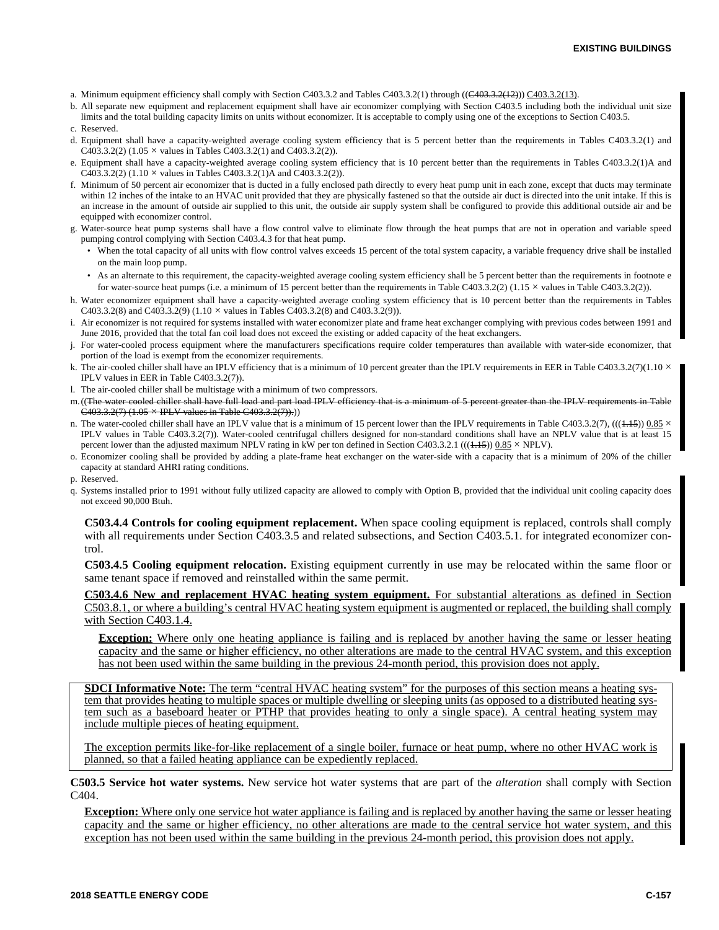- a. Minimum equipment efficiency shall comply with Section C403.3.2 and Tables C403.3.2(1) through ((C403.3.2(12))) C403.3.2(13).
- b. All separate new equipment and replacement equipment shall have air economizer complying with Section C403.5 including both the individual unit size limits and the total building capacity limits on units without economizer. It is acceptable to comply using one of the exceptions to Section C403.5.
- c. Reserved.
- d. Equipment shall have a capacity-weighted average cooling system efficiency that is 5 percent better than the requirements in Tables C403.3.2(1) and C403.3.2(2) (1.05  $\times$  values in Tables C403.3.2(1) and C403.3.2(2)).
- e. Equipment shall have a capacity-weighted average cooling system efficiency that is 10 percent better than the requirements in Tables C403.3.2(1)A and  $C\overline{403.3.2(2)}$  (1.10  $\times$  values in Tables C403.3.2(1)A and C403.3.2(2)).
- f. Minimum of 50 percent air economizer that is ducted in a fully enclosed path directly to every heat pump unit in each zone, except that ducts may terminate within 12 inches of the intake to an HVAC unit provided that they are physically fastened so that the outside air duct is directed into the unit intake. If this is an increase in the amount of outside air supplied to this unit, the outside air supply system shall be configured to provide this additional outside air and be equipped with economizer control.
- g. Water-source heat pump systems shall have a flow control valve to eliminate flow through the heat pumps that are not in operation and variable speed pumping control complying with Section C403.4.3 for that heat pump.
	- When the total capacity of all units with flow control valves exceeds 15 percent of the total system capacity, a variable frequency drive shall be installed on the main loop pump.
	- As an alternate to this requirement, the capacity-weighted average cooling system efficiency shall be 5 percent better than the requirements in footnote e for water-source heat pumps (i.e. a minimum of 15 percent better than the requirements in Table C403.3.2(2) (1.15  $\times$  values in Table C403.3.2(2)).
- h. Water economizer equipment shall have a capacity-weighted average cooling system efficiency that is 10 percent better than the requirements in Tables C403.3.2(8) and C403.3.2(9) (1.10  $\times$  values in Tables C403.3.2(8) and C403.3.2(9)).
- i. Air economizer is not required for systems installed with water economizer plate and frame heat exchanger complying with previous codes between 1991 and June 2016, provided that the total fan coil load does not exceed the existing or added capacity of the heat exchangers.
- j. For water-cooled process equipment where the manufacturers specifications require colder temperatures than available with water-side economizer, that portion of the load is exempt from the economizer requirements.
- k. The air-cooled chiller shall have an IPLV efficiency that is a minimum of 10 percent greater than the IPLV requirements in EER in Table C403.3.2(7)(1.10  $\times$ IPLV values in EER in Table C403.3.2(7)).
- l. The air-cooled chiller shall be multistage with a minimum of two compressors.
- m.((The water-cooled chiller shall have full load and part load IPLV efficiency that is a minimum of 5 percent greater than the IPLV requirements in Table  $C403.3.2(7)$  (1.05  $\times$  IPLV values in Table C403.3.2(7)).))
- n. The water-cooled chiller shall have an IPLV value that is a minimum of 15 percent lower than the IPLV requirements in Table C403.3.2(7), (((4.45))  $0.85 \times$ IPLV values in Table C403.3.2(7)). Water-cooled centrifugal chillers designed for non-standard conditions shall have an NPLV value that is at least 15 percent lower than the adjusted maximum NPLV rating in kW per ton defined in Section C403.3.2.1 ((( $\left(\frac{1}{1.15}\right)$ )  $0.85 \times$  NPLV).
- o. Economizer cooling shall be provided by adding a plate-frame heat exchanger on the water-side with a capacity that is a minimum of 20% of the chiller capacity at standard AHRI rating conditions.
- p. Reserved.
- q. Systems installed prior to 1991 without fully utilized capacity are allowed to comply with Option B, provided that the individual unit cooling capacity does not exceed 90,000 Btuh.

**C503.4.4 Controls for cooling equipment replacement.** When space cooling equipment is replaced, controls shall comply with all requirements under Section C403.3.5 and related subsections, and Section C403.5.1. for integrated economizer control.

**C503.4.5 Cooling equipment relocation.** Existing equipment currently in use may be relocated within the same floor or same tenant space if removed and reinstalled within the same permit.

**C503.4.6 New and replacement HVAC heating system equipment.** For substantial alterations as defined in Section C503.8.1, or where a building's central HVAC heating system equipment is augmented or replaced, the building shall comply with Section C403.1.4.

**Exception:** Where only one heating appliance is failing and is replaced by another having the same or lesser heating capacity and the same or higher efficiency, no other alterations are made to the central HVAC system, and this exception has not been used within the same building in the previous 24-month period, this provision does not apply.

**SDCI Informative Note:** The term "central HVAC heating system" for the purposes of this section means a heating system that provides heating to multiple spaces or multiple dwelling or sleeping units (as opposed to a distributed heating system such as a baseboard heater or PTHP that provides heating to only a single space). A central heating system may include multiple pieces of heating equipment.

The exception permits like-for-like replacement of a single boiler, furnace or heat pump, where no other HVAC work is planned, so that a failed heating appliance can be expediently replaced.

**C503.5 Service hot water systems.** New service hot water systems that are part of the *alteration* shall comply with Section C404.

**Exception:** Where only one service hot water appliance is failing and is replaced by another having the same or lesser heating capacity and the same or higher efficiency, no other alterations are made to the central service hot water system, and this exception has not been used within the same building in the previous 24-month period, this provision does not apply.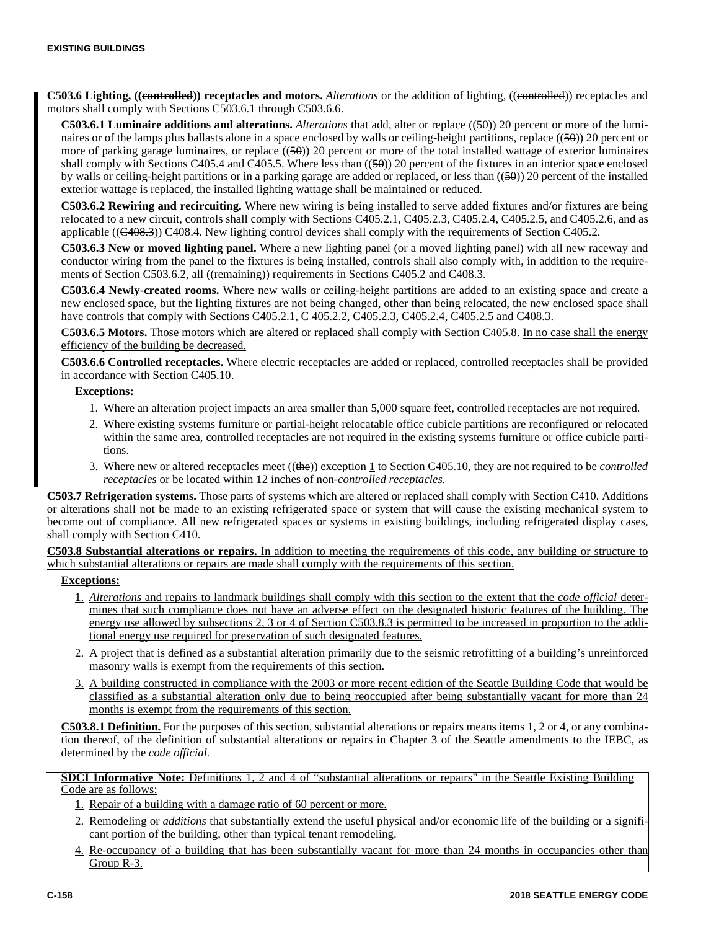**C503.6 Lighting, ((controlled)) receptacles and motors.** *Alterations* or the addition of lighting, ((controlled)) receptacles and motors shall comply with Sections C503.6.1 through C503.6.6.

**C503.6.1 Luminaire additions and alterations.** *Alterations* that add, alter or replace ((50)) 20 percent or more of the luminaires or of the lamps plus ballasts alone in a space enclosed by walls or ceiling-height partitions, replace  $((50))$  20 percent or more of parking garage luminaires, or replace  $((5\theta))$  20 percent or more of the total installed wattage of exterior luminaires shall comply with Sections C405.4 and C405.5. Where less than  $((50))$  20 percent of the fixtures in an interior space enclosed by walls or ceiling-height partitions or in a parking garage are added or replaced, or less than  $((50))$  20 percent of the installed exterior wattage is replaced, the installed lighting wattage shall be maintained or reduced.

**C503.6.2 Rewiring and recircuiting.** Where new wiring is being installed to serve added fixtures and/or fixtures are being relocated to a new circuit, controls shall comply with Sections C405.2.1, C405.2.3, C405.2.4, C405.2.5, and C405.2.6, and as applicable  $((C408.3))$   $C408.4$ . New lighting control devices shall comply with the requirements of Section C405.2.

**C503.6.3 New or moved lighting panel.** Where a new lighting panel (or a moved lighting panel) with all new raceway and conductor wiring from the panel to the fixtures is being installed, controls shall also comply with, in addition to the requirements of Section C503.6.2, all ((remaining)) requirements in Sections C405.2 and C408.3.

**C503.6.4 Newly-created rooms.** Where new walls or ceiling-height partitions are added to an existing space and create a new enclosed space, but the lighting fixtures are not being changed, other than being relocated, the new enclosed space shall have controls that comply with Sections C405.2.1, C 405.2.2, C405.2.3, C405.2.4, C405.2.5 and C408.3.

**C503.6.5 Motors.** Those motors which are altered or replaced shall comply with Section C405.8. In no case shall the energy efficiency of the building be decreased.

**C503.6.6 Controlled receptacles.** Where electric receptacles are added or replaced, controlled receptacles shall be provided in accordance with Section C405.10.

#### **Exceptions:**

- 1. Where an alteration project impacts an area smaller than 5,000 square feet, controlled receptacles are not required.
- 2. Where existing systems furniture or partial-height relocatable office cubicle partitions are reconfigured or relocated within the same area, controlled receptacles are not required in the existing systems furniture or office cubicle partitions.
- 3. Where new or altered receptacles meet ((the)) exception 1 to Section C405.10, they are not required to be *controlled receptacles* or be located within 12 inches of non-*controlled receptacles.*

**C503.7 Refrigeration systems.** Those parts of systems which are altered or replaced shall comply with Section C410. Additions or alterations shall not be made to an existing refrigerated space or system that will cause the existing mechanical system to become out of compliance. All new refrigerated spaces or systems in existing buildings, including refrigerated display cases, shall comply with Section C410.

**C503.8 Substantial alterations or repairs.** In addition to meeting the requirements of this code, any building or structure to which substantial alterations or repairs are made shall comply with the requirements of this section.

## **Exceptions:**

- 1. *Alterations* and repairs to landmark buildings shall comply with this section to the extent that the *code official* determines that such compliance does not have an adverse effect on the designated historic features of the building. The energy use allowed by subsections 2, 3 or 4 of Section C503.8.3 is permitted to be increased in proportion to the additional energy use required for preservation of such designated features.
- 2. A project that is defined as a substantial alteration primarily due to the seismic retrofitting of a building's unreinforced masonry walls is exempt from the requirements of this section.
- 3. A building constructed in compliance with the 2003 or more recent edition of the Seattle Building Code that would be classified as a substantial alteration only due to being reoccupied after being substantially vacant for more than 24 months is exempt from the requirements of this section.

**C503.8.1 Definition.** For the purposes of this section, substantial alterations or repairs means items 1, 2 or 4, or any combination thereof, of the definition of substantial alterations or repairs in Chapter 3 of the Seattle amendments to the IEBC, as determined by the *code official.*

**SDCI Informative Note:** Definitions 1, 2 and 4 of "substantial alterations or repairs" in the Seattle Existing Building Code are as follows:

- 1. Repair of a building with a damage ratio of 60 percent or more.
- 2. Remodeling or *additions* that substantially extend the useful physical and/or economic life of the building or a significant portion of the building, other than typical tenant remodeling.
- 4. Re-occupancy of a building that has been substantially vacant for more than 24 months in occupancies other than Group R-3.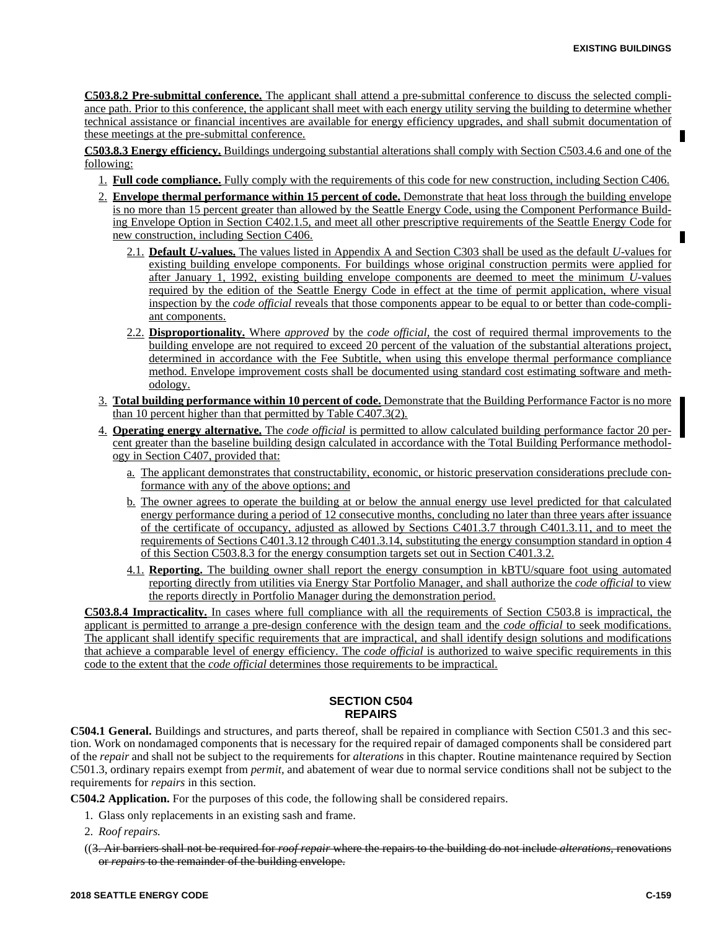**C503.8.2 Pre-submittal conference.** The applicant shall attend a pre-submittal conference to discuss the selected compliance path. Prior to this conference, the applicant shall meet with each energy utility serving the building to determine whether technical assistance or financial incentives are available for energy efficiency upgrades, and shall submit documentation of these meetings at the pre-submittal conference.

**C503.8.3 Energy efficiency.** Buildings undergoing substantial alterations shall comply with Section C503.4.6 and one of the following:

- 1. **Full code compliance.** Fully comply with the requirements of this code for new construction, including Section C406.
- 2. **Envelope thermal performance within 15 percent of code.** Demonstrate that heat loss through the building envelope is no more than 15 percent greater than allowed by the Seattle Energy Code, using the Component Performance Building Envelope Option in Section C402.1.5, and meet all other prescriptive requirements of the Seattle Energy Code for new construction, including Section C406.
	- 2.1. **Default** *U-***values.** The values listed in Appendix A and Section C303 shall be used as the default *U-*values for existing building envelope components. For buildings whose original construction permits were applied for after January 1, 1992, existing building envelope components are deemed to meet the minimum *U-*values required by the edition of the Seattle Energy Code in effect at the time of permit application, where visual inspection by the *code official* reveals that those components appear to be equal to or better than code-compliant components.
	- 2.2. **Disproportionality.** Where *approved* by the *code official,* the cost of required thermal improvements to the building envelope are not required to exceed 20 percent of the valuation of the substantial alterations project, determined in accordance with the Fee Subtitle, when using this envelope thermal performance compliance method. Envelope improvement costs shall be documented using standard cost estimating software and methodology.
- 3. **Total building performance within 10 percent of code.** Demonstrate that the Building Performance Factor is no more than 10 percent higher than that permitted by Table C407.3(2).
- 4. **Operating energy alternative.** The *code official* is permitted to allow calculated building performance factor 20 percent greater than the baseline building design calculated in accordance with the Total Building Performance methodology in Section C407, provided that:
	- a. The applicant demonstrates that constructability, economic, or historic preservation considerations preclude conformance with any of the above options; and
	- b. The owner agrees to operate the building at or below the annual energy use level predicted for that calculated energy performance during a period of 12 consecutive months, concluding no later than three years after issuance of the certificate of occupancy, adjusted as allowed by Sections C401.3.7 through C401.3.11, and to meet the requirements of Sections C401.3.12 through C401.3.14, substituting the energy consumption standard in option 4 of this Section C503.8.3 for the energy consumption targets set out in Section C401.3.2.
	- 4.1. **Reporting.** The building owner shall report the energy consumption in kBTU/square foot using automated reporting directly from utilities via Energy Star Portfolio Manager, and shall authorize the *code official* to view the reports directly in Portfolio Manager during the demonstration period.

**C503.8.4 Impracticality.** In cases where full compliance with all the requirements of Section C503.8 is impractical, the applicant is permitted to arrange a pre-design conference with the design team and the *code official* to seek modifications. The applicant shall identify specific requirements that are impractical, and shall identify design solutions and modifications that achieve a comparable level of energy efficiency. The *code official* is authorized to waive specific requirements in this code to the extent that the *code official* determines those requirements to be impractical.

# **SECTION C504 REPAIRS**

**C504.1 General.** Buildings and structures, and parts thereof, shall be repaired in compliance with Section C501.3 and this section. Work on nondamaged components that is necessary for the required repair of damaged components shall be considered part of the *repair* and shall not be subject to the requirements for *alterations* in this chapter. Routine maintenance required by Section C501.3, ordinary repairs exempt from *permit,* and abatement of wear due to normal service conditions shall not be subject to the requirements for *repairs* in this section.

**C504.2 Application.** For the purposes of this code, the following shall be considered repairs.

1. Glass only replacements in an existing sash and frame.

2. *Roof repairs.*

((3. Air barriers shall not be required for *roof repair* where the repairs to the building do not include *alterations,* renovations or *repairs* to the remainder of the building envelope.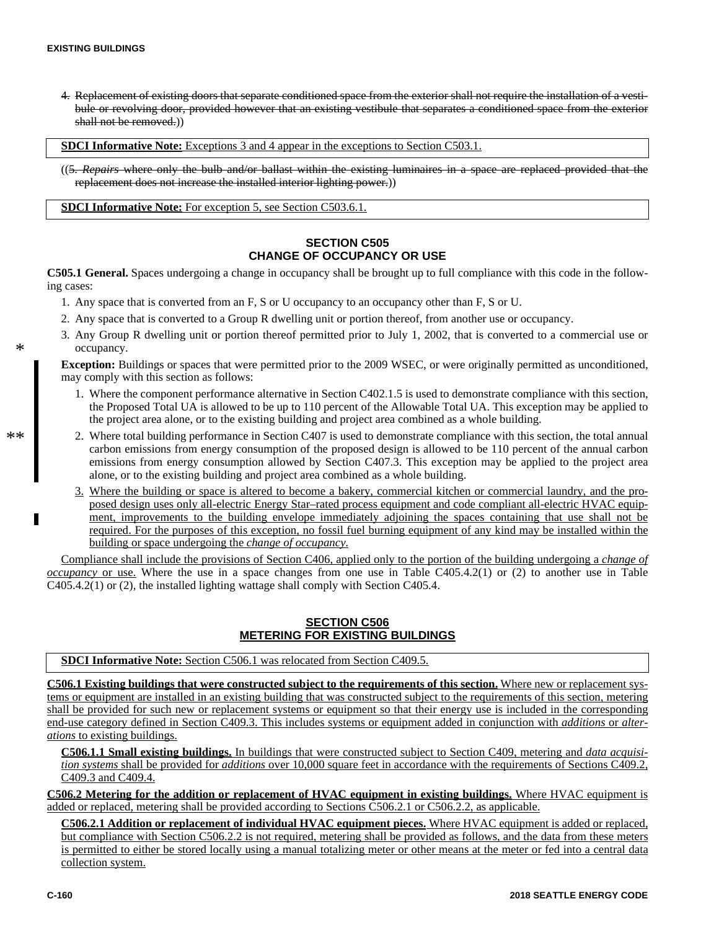4. Replacement of existing doors that separate conditioned space from the exterior shall not require the installation of a vestibule or revolving door, provided however that an existing vestibule that separates a conditioned space from the exterior shall not be removed.))

**SDCI Informative Note:** Exceptions 3 and 4 appear in the exceptions to Section C503.1.

((5. *Repairs* where only the bulb and/or ballast within the existing luminaires in a space are replaced provided that the replacement does not increase the installed interior lighting power.))

**SDCI Informative Note:** For exception 5, see Section C503.6.1.

# **SECTION C505 CHANGE OF OCCUPANCY OR USE**

**C505.1 General.** Spaces undergoing a change in occupancy shall be brought up to full compliance with this code in the following cases:

- 1. Any space that is converted from an F, S or U occupancy to an occupancy other than F, S or U.
- 2. Any space that is converted to a Group R dwelling unit or portion thereof, from another use or occupancy.
- 3. Any Group R dwelling unit or portion thereof permitted prior to July 1, 2002, that is converted to a commercial use or occupancy.

**Exception:** Buildings or spaces that were permitted prior to the 2009 WSEC, or were originally permitted as unconditioned, may comply with this section as follows:

- 1. Where the component performance alternative in Section C402.1.5 is used to demonstrate compliance with this section, the Proposed Total UA is allowed to be up to 110 percent of the Allowable Total UA. This exception may be applied to the project area alone, or to the existing building and project area combined as a whole building.
- 2. Where total building performance in Section C407 is used to demonstrate compliance with this section, the total annual carbon emissions from energy consumption of the proposed design is allowed to be 110 percent of the annual carbon emissions from energy consumption allowed by Section C407.3. This exception may be applied to the project area alone, or to the existing building and project area combined as a whole building.
- 3. Where the building or space is altered to become a bakery, commercial kitchen or commercial laundry, and the proposed design uses only all-electric Energy Star–rated process equipment and code compliant all-electric HVAC equipment, improvements to the building envelope immediately adjoining the spaces containing that use shall not be required. For the purposes of this exception, no fossil fuel burning equipment of any kind may be installed within the building or space undergoing the *change of occupancy.*

Compliance shall include the provisions of Section C406, applied only to the portion of the building undergoing a *change of occupancy* or use. Where the use in a space changes from one use in Table C405.4.2(1) or (2) to another use in Table C405.4.2(1) or (2), the installed lighting wattage shall comply with Section C405.4.

### **SECTION C506 METERING FOR EXISTING BUILDINGS**

**SDCI Informative Note:** Section C506.1 was relocated from Section C409.5.

**C506.1 Existing buildings that were constructed subject to the requirements of this section.** Where new or replacement systems or equipment are installed in an existing building that was constructed subject to the requirements of this section, metering shall be provided for such new or replacement systems or equipment so that their energy use is included in the corresponding end-use category defined in Section C409.3. This includes systems or equipment added in conjunction with *additions* or *alterations* to existing buildings.

**C506.1.1 Small existing buildings.** In buildings that were constructed subject to Section C409, metering and *data acquisition systems* shall be provided for *additions* over 10,000 square feet in accordance with the requirements of Sections C409.2, C409.3 and C409.4.

**C506.2 Metering for the addition or replacement of HVAC equipment in existing buildings.** Where HVAC equipment is added or replaced, metering shall be provided according to Sections C506.2.1 or C506.2.2, as applicable.

**C506.2.1 Addition or replacement of individual HVAC equipment pieces.** Where HVAC equipment is added or replaced, but compliance with Section C506.2.2 is not required, metering shall be provided as follows, and the data from these meters is permitted to either be stored locally using a manual totalizing meter or other means at the meter or fed into a central data collection system.

\*\*

\*